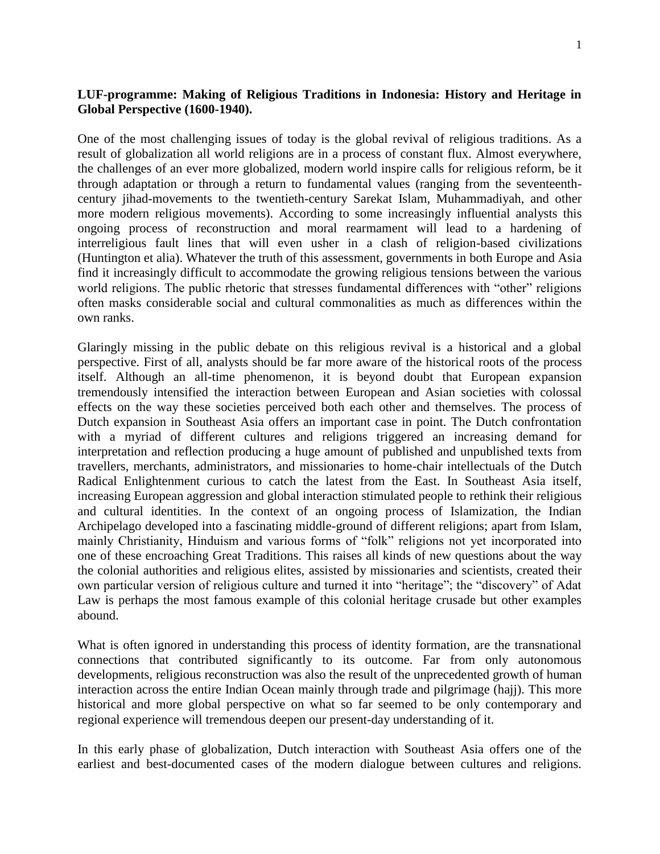## **LUF-programme: Making of Religious Traditions in Indonesia: History and Heritage in Global Perspective (1600-1940).**

One of the most challenging issues of today is the global revival of religious traditions. As a result of globalization all world religions are in a process of constant flux. Almost everywhere, the challenges of an ever more globalized, modern world inspire calls for religious reform, be it through adaptation or through a return to fundamental values (ranging from the seventeenthcentury jihad-movements to the twentieth-century Sarekat Islam, Muhammadiyah, and other more modern religious movements). According to some increasingly influential analysts this ongoing process of reconstruction and moral rearmament will lead to a hardening of interreligious fault lines that will even usher in a clash of religion-based civilizations (Huntington et alia). Whatever the truth of this assessment, governments in both Europe and Asia find it increasingly difficult to accommodate the growing religious tensions between the various world religions. The public rhetoric that stresses fundamental differences with "other" religions often masks considerable social and cultural commonalities as much as differences within the own ranks.

Glaringly missing in the public debate on this religious revival is a historical and a global perspective. First of all, analysts should be far more aware of the historical roots of the process itself. Although an all-time phenomenon, it is beyond doubt that European expansion tremendously intensified the interaction between European and Asian societies with colossal effects on the way these societies perceived both each other and themselves. The process of Dutch expansion in Southeast Asia offers an important case in point. The Dutch confrontation with a myriad of different cultures and religions triggered an increasing demand for interpretation and reflection producing a huge amount of published and unpublished texts from travellers, merchants, administrators, and missionaries to home-chair intellectuals of the Dutch Radical Enlightenment curious to catch the latest from the East. In Southeast Asia itself, increasing European aggression and global interaction stimulated people to rethink their religious and cultural identities. In the context of an ongoing process of Islamization, the Indian Archipelago developed into a fascinating middle-ground of different religions; apart from Islam, mainly Christianity, Hinduism and various forms of "folk" religions not yet incorporated into one of these encroaching Great Traditions. This raises all kinds of new questions about the way the colonial authorities and religious elites, assisted by missionaries and scientists, created their own particular version of religious culture and turned it into "heritage"; the "discovery" of Adat Law is perhaps the most famous example of this colonial heritage crusade but other examples abound.

What is often ignored in understanding this process of identity formation, are the transnational connections that contributed significantly to its outcome. Far from only autonomous developments, religious reconstruction was also the result of the unprecedented growth of human interaction across the entire Indian Ocean mainly through trade and pilgrimage (hajj). This more historical and more global perspective on what so far seemed to be only contemporary and regional experience will tremendous deepen our present-day understanding of it.

In this early phase of globalization, Dutch interaction with Southeast Asia offers one of the earliest and best-documented cases of the modern dialogue between cultures and religions.